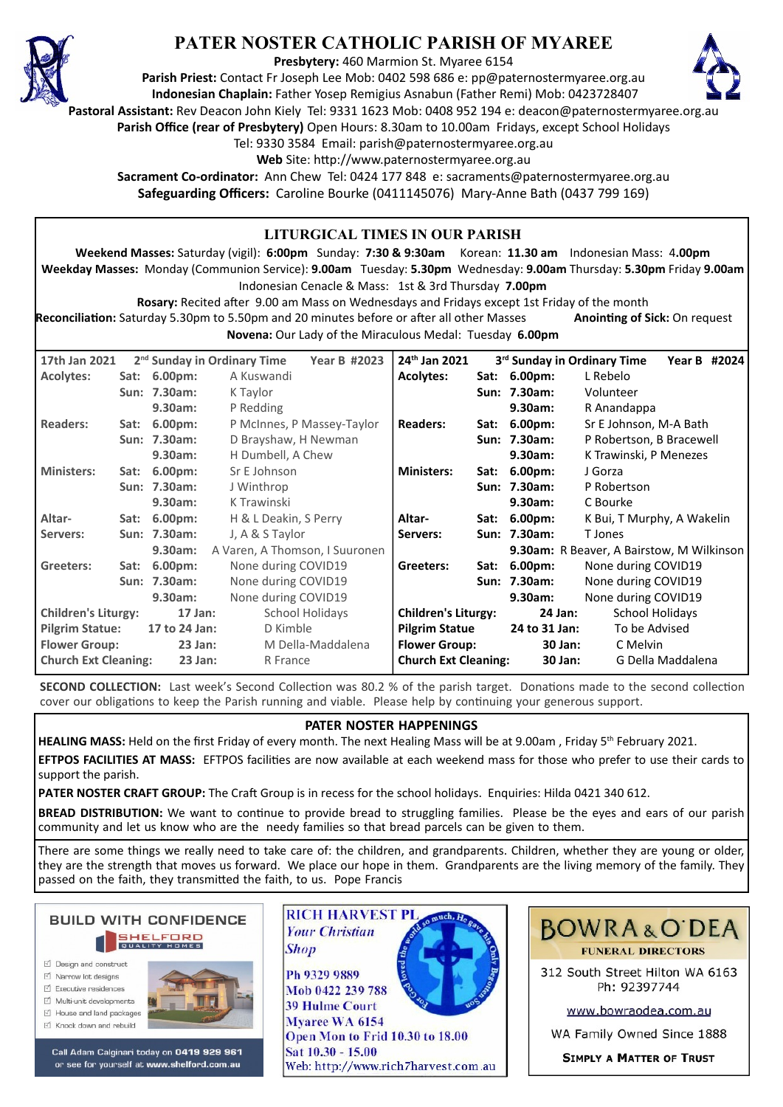

# **PATER NOSTER CATHOLIC PARISH OF MYAREE**

**Presbytery:** 460 Marmion St. Myaree 6154

**Parish Priest:** Contact Fr Joseph Lee Mob: 0402 598 686 e: pp@paternostermyaree.org.au **Indonesian Chaplain:** Father Yosep Remigius Asnabun (Father Remi) Mob: 0423728407



**Pastoral Assistant:** Rev Deacon John Kiely Tel: 9331 1623 Mob: 0408 952 194 e: deacon@paternostermyaree.org.au

**Parish Office (rear of Presbytery)** Open Hours: 8.30am to 10.00am Fridays, except School Holidays

Tel: 9330 3584 Email: parish@paternostermyaree.org.au

Web Site: http://www.paternostermyaree.org.au

**Sacrament Co-ordinator:** Ann Chew Tel: 0424 177 848 e: sacraments@paternostermyaree.org.au **Safeguarding Officers:** Caroline Bourke (0411145076) Mary-Anne Bath (0437 799 169)

| LITURGICAL TIMES IN OUR PARISH<br>Weekend Masses: Saturday (vigil): 6:00pm Sunday: 7:30 & 9:30am Korean: 11.30 am Indonesian Mass: 4.00pm<br>Weekday Masses: Monday (Communion Service): 9.00am Tuesday: 5.30pm Wednesday: 9.00am Thursday: 5.30pm Friday 9.00am<br>Indonesian Cenacle & Mass: 1st & 3rd Thursday 7.00pm<br>Rosary: Recited after 9.00 am Mass on Wednesdays and Fridays except 1st Friday of the month<br>Reconciliation: Saturday 5.30pm to 5.50pm and 20 minutes before or after all other Masses<br>Anointing of Sick: On request |  |                                                         |                                                                                |                            |                                                                                                                             |                              |                                                         |                                                                                                |              |  |
|-------------------------------------------------------------------------------------------------------------------------------------------------------------------------------------------------------------------------------------------------------------------------------------------------------------------------------------------------------------------------------------------------------------------------------------------------------------------------------------------------------------------------------------------------------|--|---------------------------------------------------------|--------------------------------------------------------------------------------|----------------------------|-----------------------------------------------------------------------------------------------------------------------------|------------------------------|---------------------------------------------------------|------------------------------------------------------------------------------------------------|--------------|--|
| Novena: Our Lady of the Miraculous Medal: Tuesday 6.00pm                                                                                                                                                                                                                                                                                                                                                                                                                                                                                              |  |                                                         |                                                                                |                            |                                                                                                                             |                              |                                                         |                                                                                                |              |  |
| 17th Jan 2021<br><b>Acolytes:</b>                                                                                                                                                                                                                                                                                                                                                                                                                                                                                                                     |  | Sat: 6.00pm:<br>Sun: 7.30am:<br>$9.30$ am:              | 2 <sup>nd</sup> Sunday in Ordinary Time<br>A Kuswandi<br>K Taylor<br>P Redding | <b>Year B #2023</b>        | 24th Jan 2021<br><b>Acolytes:</b>                                                                                           |                              | Sat: 6.00pm:<br>Sun: 7.30am:<br>9.30am:                 | 3rd Sunday in Ordinary Time<br>L Rebelo<br>Volunteer<br>R Anandappa                            | Year B #2024 |  |
| <b>Readers:</b><br><b>Ministers:</b>                                                                                                                                                                                                                                                                                                                                                                                                                                                                                                                  |  | Sat: 6.00pm:<br>Sun: 7.30am:<br>9.30am:<br>Sat: 6.00pm: | D Brayshaw, H Newman<br>H Dumbell, A Chew<br>Sr E Johnson                      | P McInnes, P Massey-Taylor | <b>Readers:</b><br><b>Ministers:</b>                                                                                        |                              | Sat: 6.00pm:<br>Sun: 7.30am:<br>9.30am:<br>Sat: 6.00pm: | Sr E Johnson, M-A Bath<br>P Robertson, B Bracewell<br>K Trawinski, P Menezes<br>J Gorza        |              |  |
| Altar-                                                                                                                                                                                                                                                                                                                                                                                                                                                                                                                                                |  | Sun: 7.30am:<br>9.30am:<br>Sat: 6.00pm:                 | J Winthrop<br>K Trawinski<br>H & L Deakin, S Perry                             |                            | Altar-                                                                                                                      |                              | Sun: 7.30am:<br>9.30am:<br>Sat: 6.00pm:                 | P Robertson<br>C Bourke<br>K Bui, T Murphy, A Wakelin                                          |              |  |
| Servers:<br>Greeters:                                                                                                                                                                                                                                                                                                                                                                                                                                                                                                                                 |  | Sun: 7.30am:<br>9.30am:<br>Sat: 6.00pm:                 | J, A & S Taylor<br>A Varen, A Thomson, I Suuronen<br>None during COVID19       | Servers:<br>Greeters:      |                                                                                                                             | Sun: 7.30am:<br>Sat: 6.00pm: | T Jones                                                 | 9.30am: R Beaver, A Bairstow, M Wilkinson<br>None during COVID19                               |              |  |
|                                                                                                                                                                                                                                                                                                                                                                                                                                                                                                                                                       |  | Sun: 7.30am:<br>9.30am:                                 | None during COVID19<br>None during COVID19                                     |                            |                                                                                                                             |                              | Sun: 7.30am:<br>9.30am:<br>24 Jan:                      | None during COVID19<br>None during COVID19                                                     |              |  |
| <b>Children's Liturgy:</b><br>$17$ Jan:<br><b>School Holidays</b><br><b>Pilgrim Statue:</b><br>D Kimble<br>17 to 24 Jan:<br><b>Flower Group:</b><br>$23$ Jan:<br>M Della-Maddalena<br><b>Church Ext Cleaning:</b><br>23 Jan:<br>R France                                                                                                                                                                                                                                                                                                              |  |                                                         |                                                                                |                            | <b>Children's Liturgy:</b><br><b>Pilgrim Statue</b><br>24 to 31 Jan:<br><b>Flower Group:</b><br><b>Church Ext Cleaning:</b> |                              |                                                         | <b>School Holidays</b><br>To be Advised<br>30 Jan:<br>C Melvin<br>G Della Maddalena<br>30 Jan: |              |  |

**SECOND COLLECTION:** Last week's Second Collection was 80.2 % of the parish target. Donations made to the second collection cover our obligations to keep the Parish running and viable. Please help by continuing your generous support.

## **PATER NOSTER HAPPENINGS**

**HEALING MASS:** Held on the first Friday of every month. The next Healing Mass will be at 9.00am, Friday 5<sup>th</sup> February 2021. **EFTPOS FACILITIES AT MASS:** EFTPOS facili�es are now available at each weekend mass for those who prefer to use their cards to support the parish.

**PATER NOSTER CRAFT GROUP:** The Craft Group is in recess for the school holidays. Enquiries: Hilda 0421 340 612.

**BREAD DISTRIBUTION:** We want to continue to provide bread to struggling families. Please be the eyes and ears of our parish community and let us know who are the needy families so that bread parcels can be given to them.

There are some things we really need to take care of: the children, and grandparents. Children, whether they are young or older, they are the strength that moves us forward. We place our hope in them. Grandparents are the living memory of the family. They passed on the faith, they transmi�ed the faith, to us. Pope Francis



- ☑ Design and construct  $\triangledown$  Narrow lot designs
- $\triangledown$  Executive residences
- Multi-unit developments
- $\forall$  House and land packages
- ☑ Knock down and rebuild



Call Adam Calginari today on 0419 929 961 or see for yourself at www.shelford.com.au



Sat 10.30 - 15.00 Web: http://www.rich7harvest.com.au



312 South Street Hilton WA 6163 Ph: 92397744

www.bowraodea.com.au

WA Family Owned Since 1888

**SIMPLY A MATTER OF TRUST**